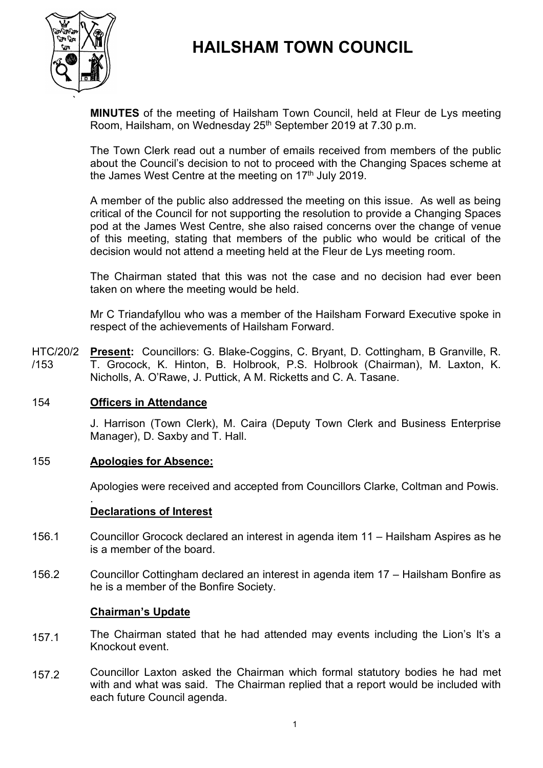# **HAILSHAM TOWN COUNCIL**



**MINUTES** of the meeting of Hailsham Town Council, held at Fleur de Lys meeting Room, Hailsham, on Wednesday 25<sup>th</sup> September 2019 at 7.30 p.m.

The Town Clerk read out a number of emails received from members of the public about the Council's decision to not to proceed with the Changing Spaces scheme at the James West Centre at the meeting on  $17<sup>th</sup>$  July 2019.

A member of the public also addressed the meeting on this issue. As well as being critical of the Council for not supporting the resolution to provide a Changing Spaces pod at the James West Centre, she also raised concerns over the change of venue of this meeting, stating that members of the public who would be critical of the decision would not attend a meeting held at the Fleur de Lys meeting room.

The Chairman stated that this was not the case and no decision had ever been taken on where the meeting would be held.

Mr C Triandafyllou who was a member of the Hailsham Forward Executive spoke in respect of the achievements of Hailsham Forward.

HTC/20/2 /153 **Present:** Councillors: G. Blake-Coggins, C. Bryant, D. Cottingham, B Granville, R. T. Grocock, K. Hinton, B. Holbrook, P.S. Holbrook (Chairman), M. Laxton, K. Nicholls, A. O'Rawe, J. Puttick, A M. Ricketts and C. A. Tasane.

# 154 **Officers in Attendance**

J. Harrison (Town Clerk), M. Caira (Deputy Town Clerk and Business Enterprise Manager), D. Saxby and T. Hall.

# 155 **Apologies for Absence:**

Apologies were received and accepted from Councillors Clarke, Coltman and Powis.

#### . **Declarations of Interest**

- 156.1 Councillor Grocock declared an interest in agenda item 11 – Hailsham Aspires as he is a member of the board.
- 156.2 Councillor Cottingham declared an interest in agenda item 17 – Hailsham Bonfire as he is a member of the Bonfire Society.

#### **Chairman's Update**

- 157.1 The Chairman stated that he had attended may events including the Lion's It's a Knockout event.
- 157.2 Councillor Laxton asked the Chairman which formal statutory bodies he had met with and what was said. The Chairman replied that a report would be included with each future Council agenda.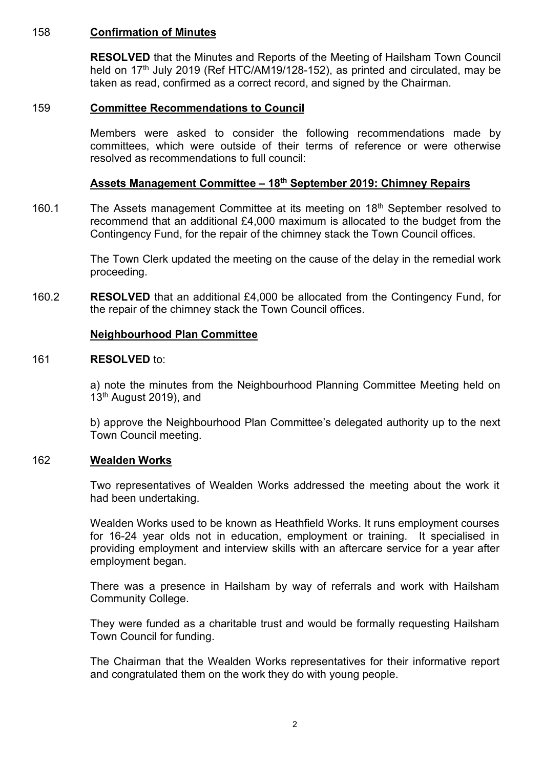# 158 **Confirmation of Minutes**

**RESOLVED** that the Minutes and Reports of the Meeting of Hailsham Town Council held on 17<sup>th</sup> July 2019 (Ref HTC/AM19/128-152), as printed and circulated, may be taken as read, confirmed as a correct record, and signed by the Chairman.

# 159 **Committee Recommendations to Council**

Members were asked to consider the following recommendations made by committees, which were outside of their terms of reference or were otherwise resolved as recommendations to full council:

# **Assets Management Committee – 18th September 2019: Chimney Repairs**

160.1 The Assets management Committee at its meeting on 18<sup>th</sup> September resolved to recommend that an additional £4,000 maximum is allocated to the budget from the Contingency Fund, for the repair of the chimney stack the Town Council offices.

> The Town Clerk updated the meeting on the cause of the delay in the remedial work proceeding.

160.2 **RESOLVED** that an additional £4,000 be allocated from the Contingency Fund, for the repair of the chimney stack the Town Council offices.

# **Neighbourhood Plan Committee**

#### 161 **RESOLVED** to:

a) note the minutes from the Neighbourhood Planning Committee Meeting held on 13<sup>th</sup> August 2019), and

b) approve the Neighbourhood Plan Committee's delegated authority up to the next Town Council meeting.

#### 162 **Wealden Works**

Two representatives of Wealden Works addressed the meeting about the work it had been undertaking.

Wealden Works used to be known as Heathfield Works. It runs employment courses for 16-24 year olds not in education, employment or training. It specialised in providing employment and interview skills with an aftercare service for a year after employment began.

There was a presence in Hailsham by way of referrals and work with Hailsham Community College.

They were funded as a charitable trust and would be formally requesting Hailsham Town Council for funding.

The Chairman that the Wealden Works representatives for their informative report and congratulated them on the work they do with young people.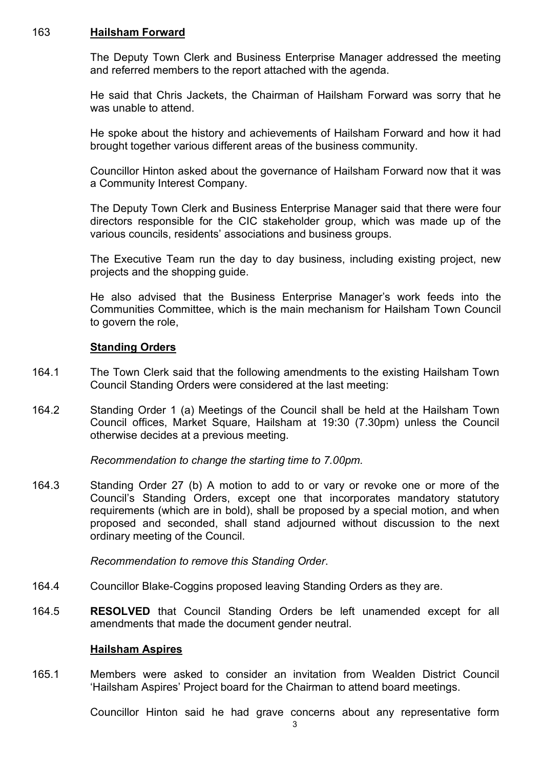#### 163 **Hailsham Forward**

The Deputy Town Clerk and Business Enterprise Manager addressed the meeting and referred members to the report attached with the agenda.

He said that Chris Jackets, the Chairman of Hailsham Forward was sorry that he was unable to attend.

He spoke about the history and achievements of Hailsham Forward and how it had brought together various different areas of the business community.

Councillor Hinton asked about the governance of Hailsham Forward now that it was a Community Interest Company.

The Deputy Town Clerk and Business Enterprise Manager said that there were four directors responsible for the CIC stakeholder group, which was made up of the various councils, residents' associations and business groups.

The Executive Team run the day to day business, including existing project, new projects and the shopping guide.

He also advised that the Business Enterprise Manager's work feeds into the Communities Committee, which is the main mechanism for Hailsham Town Council to govern the role,

# **Standing Orders**

- 164.1 The Town Clerk said that the following amendments to the existing Hailsham Town Council Standing Orders were considered at the last meeting:
- 164.2 Standing Order 1 (a) Meetings of the Council shall be held at the Hailsham Town Council offices, Market Square, Hailsham at 19:30 (7.30pm) unless the Council otherwise decides at a previous meeting.

*Recommendation to change the starting time to 7.00pm.*

164.3 Standing Order 27 (b) A motion to add to or vary or revoke one or more of the Council's Standing Orders, except one that incorporates mandatory statutory requirements (which are in bold), shall be proposed by a special motion, and when proposed and seconded, shall stand adjourned without discussion to the next ordinary meeting of the Council.

*Recommendation to remove this Standing Order*.

- 164.4 Councillor Blake-Coggins proposed leaving Standing Orders as they are.
- 164.5 **RESOLVED** that Council Standing Orders be left unamended except for all amendments that made the document gender neutral.

#### **Hailsham Aspires**

165.1 Members were asked to consider an invitation from Wealden District Council 'Hailsham Aspires' Project board for the Chairman to attend board meetings.

Councillor Hinton said he had grave concerns about any representative form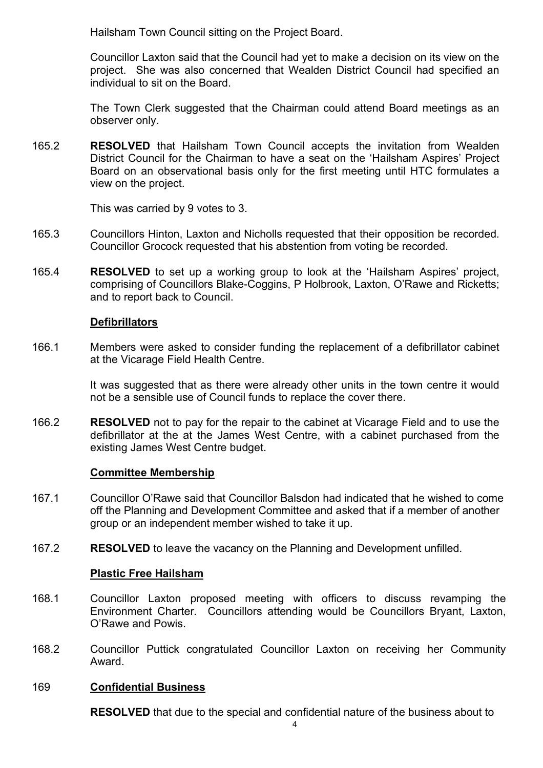Hailsham Town Council sitting on the Project Board.

Councillor Laxton said that the Council had yet to make a decision on its view on the project. She was also concerned that Wealden District Council had specified an individual to sit on the Board.

The Town Clerk suggested that the Chairman could attend Board meetings as an observer only.

165.2 **RESOLVED** that Hailsham Town Council accepts the invitation from Wealden District Council for the Chairman to have a seat on the 'Hailsham Aspires' Project Board on an observational basis only for the first meeting until HTC formulates a view on the project.

This was carried by 9 votes to 3.

- 165.3 Councillors Hinton, Laxton and Nicholls requested that their opposition be recorded. Councillor Grocock requested that his abstention from voting be recorded.
- 165.4 **RESOLVED** to set up a working group to look at the 'Hailsham Aspires' project, comprising of Councillors Blake-Coggins, P Holbrook, Laxton, O'Rawe and Ricketts; and to report back to Council.

#### **Defibrillators**

166.1 Members were asked to consider funding the replacement of a defibrillator cabinet at the Vicarage Field Health Centre.

> It was suggested that as there were already other units in the town centre it would not be a sensible use of Council funds to replace the cover there.

166.2 **RESOLVED** not to pay for the repair to the cabinet at Vicarage Field and to use the defibrillator at the at the James West Centre, with a cabinet purchased from the existing James West Centre budget.

# **Committee Membership**

- 167.1 Councillor O'Rawe said that Councillor Balsdon had indicated that he wished to come off the Planning and Development Committee and asked that if a member of another group or an independent member wished to take it up.
- 167.2 **RESOLVED** to leave the vacancy on the Planning and Development unfilled.

# **Plastic Free Hailsham**

- 168.1 Councillor Laxton proposed meeting with officers to discuss revamping the Environment Charter. Councillors attending would be Councillors Bryant, Laxton, O'Rawe and Powis.
- 168.2 Councillor Puttick congratulated Councillor Laxton on receiving her Community Award.

#### 169 **Confidential Business**

**RESOLVED** that due to the special and confidential nature of the business about to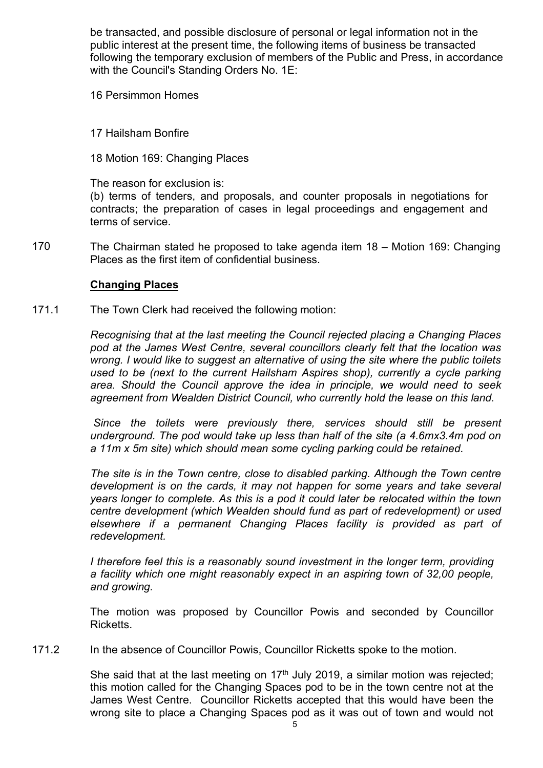be transacted, and possible disclosure of personal or legal information not in the public interest at the present time, the following items of business be transacted following the temporary exclusion of members of the Public and Press, in accordance with the Council's Standing Orders No. 1E:

16 Persimmon Homes

17 Hailsham Bonfire

18 Motion 169: Changing Places

The reason for exclusion is:

(b) terms of tenders, and proposals, and counter proposals in negotiations for contracts; the preparation of cases in legal proceedings and engagement and terms of service.

170 The Chairman stated he proposed to take agenda item 18 – Motion 169: Changing Places as the first item of confidential business.

# **Changing Places**

171.1 The Town Clerk had received the following motion:

> *Recognising that at the last meeting the Council rejected placing a Changing Places pod at the James West Centre, several councillors clearly felt that the location was wrong. I would like to suggest an alternative of using the site where the public toilets used to be (next to the current Hailsham Aspires shop), currently a cycle parking area. Should the Council approve the idea in principle, we would need to seek agreement from Wealden District Council, who currently hold the lease on this land.*

> Since the toilets were previously there, services should still be present *underground. The pod would take up less than half of the site (a 4.6mx3.4m pod on a 11m x 5m site) which should mean some cycling parking could be retained.*

> *The site is in the Town centre, close to disabled parking. Although the Town centre development is on the cards, it may not happen for some years and take several years longer to complete. As this is a pod it could later be relocated within the town centre development (which Wealden should fund as part of redevelopment) or used elsewhere if a permanent Changing Places facility is provided as part of redevelopment.*

*I* therefore feel this is a reasonably sound investment in the longer term, providing *a facility which one might reasonably expect in an aspiring town of 32,00 people, and growing.*

The motion was proposed by Councillor Powis and seconded by Councillor **Ricketts** 

171.2 In the absence of Councillor Powis, Councillor Ricketts spoke to the motion.

> She said that at the last meeting on  $17<sup>th</sup>$  July 2019, a similar motion was rejected; this motion called for the Changing Spaces pod to be in the town centre not at the James West Centre. Councillor Ricketts accepted that this would have been the wrong site to place a Changing Spaces pod as it was out of town and would not